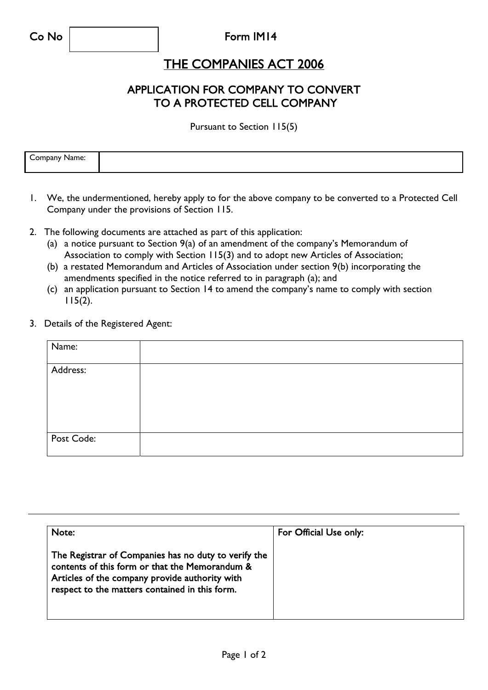## Form IM14

## THE COMPANIES ACT 2006

## APPLICATION FOR COMPANY TO CONVERT TO A PROTECTED CELL COMPANY

Pursuant to Section 115(5)

| ------<br>$\sim$<br>.<br>me<br>м |  |
|----------------------------------|--|
|                                  |  |

- 1. We, the undermentioned, hereby apply to for the above company to be converted to a Protected Cell Company under the provisions of Section 115.
- 2. The following documents are attached as part of this application:
	- (a) a notice pursuant to Section 9(a) of an amendment of the company's Memorandum of Association to comply with Section 115(3) and to adopt new Articles of Association;
	- (b) a restated Memorandum and Articles of Association under section 9(b) incorporating the amendments specified in the notice referred to in paragraph (a); and
	- (c) an application pursuant to Section 14 to amend the company's name to comply with section 115(2).
- 3. Details of the Registered Agent:

| Name:      |  |
|------------|--|
| Address:   |  |
| Post Code: |  |

| Note:                                                                                                                                                                                                      | For Official Use only: |
|------------------------------------------------------------------------------------------------------------------------------------------------------------------------------------------------------------|------------------------|
| The Registrar of Companies has no duty to verify the<br>contents of this form or that the Memorandum &<br>Articles of the company provide authority with<br>respect to the matters contained in this form. |                        |